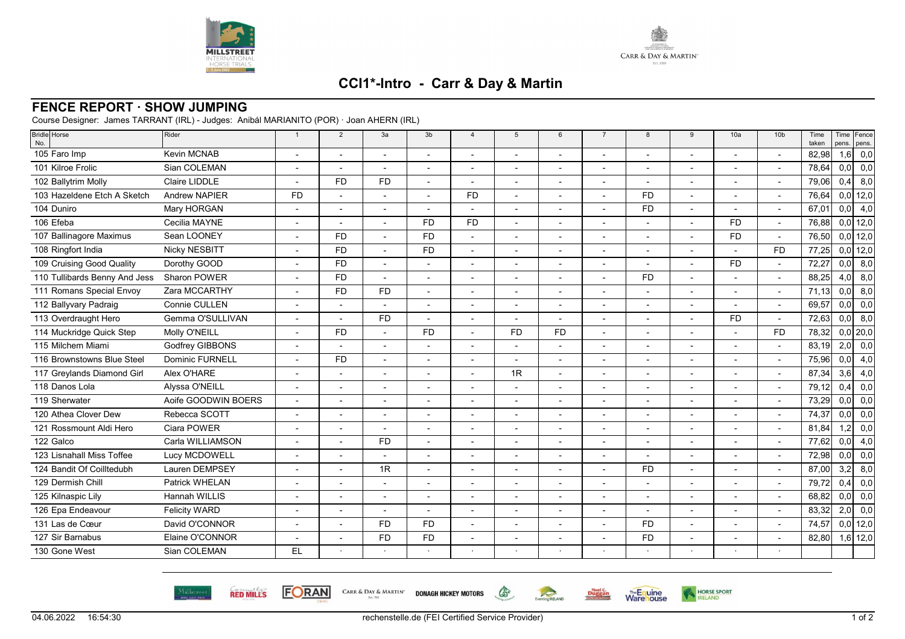



**Warehouse** 

HORSE SPORT

## **CCI1\*-Intro - Carr & Day & Martin**

## **FENCE REPORT · SHOW JUMPING**

Course Designer: James TARRANT (IRL) - Judges: Anibál MARIANITO (POR) · Joan AHERN (IRL)

| <b>Bridle</b> Horse<br>No.    | Rider                  | $\overline{1}$           | 2                        | 3a                       | 3 <sub>b</sub> | $\overline{4}$ | 5              | 6                        | $\overline{7}$           | 8                        | 9                        | 10a                      | 10 <sub>b</sub>          | Time<br>taken | pens. | Time Fence<br>pens. |
|-------------------------------|------------------------|--------------------------|--------------------------|--------------------------|----------------|----------------|----------------|--------------------------|--------------------------|--------------------------|--------------------------|--------------------------|--------------------------|---------------|-------|---------------------|
| 105 Faro Imp                  | <b>Kevin MCNAB</b>     |                          |                          |                          |                |                |                |                          |                          |                          |                          |                          | L,                       | 82,98         | 1,6   | 0,0                 |
| 101 Kilroe Frolic             | Sian COLEMAN           |                          | $\overline{\phantom{a}}$ | $\overline{\phantom{a}}$ |                | $\overline{a}$ |                |                          |                          |                          |                          |                          | $\overline{\phantom{a}}$ | 78,64         | 0,0   | 0,0                 |
| 102 Ballytrim Molly           | Claire LIDDLE          |                          | <b>FD</b>                | <b>FD</b>                |                |                |                |                          |                          |                          |                          |                          | $\overline{a}$           | 79,06         | 0,4   | 8,0                 |
| 103 Hazeldene Etch A Sketch   | Andrew NAPIER          | <b>FD</b>                |                          | $\overline{a}$           |                | FD.            |                | $\overline{\phantom{a}}$ |                          | <b>FD</b>                | $\overline{a}$           |                          | $\overline{\phantom{a}}$ | 76.64         |       | $0,0$ 12,0          |
| 104 Duniro                    | Mary HORGAN            |                          |                          | $\blacksquare$           |                |                |                | $\overline{\phantom{a}}$ |                          | <b>FD</b>                | $\overline{\phantom{a}}$ | $\overline{\phantom{a}}$ | $\blacksquare$           | 67,01         | 0,0   | 4,0                 |
| 106 Efeba                     | Cecilia MAYNE          |                          |                          |                          | <b>FD</b>      | FD.            |                |                          |                          |                          |                          | <b>FD</b>                |                          | 76,88         |       | $0,0$ 12,0          |
| 107 Ballinagore Maximus       | Sean LOONEY            |                          | <b>FD</b>                | $\overline{a}$           | <b>FD</b>      | L,             |                |                          |                          |                          |                          | <b>FD</b>                | $\overline{\phantom{a}}$ | 76,50         |       | $0,0$ 12,0          |
| 108 Ringfort India            | Nicky NESBITT          | $\overline{\phantom{a}}$ | <b>FD</b>                | $\overline{a}$           | <b>FD</b>      | $\blacksquare$ | $\overline{a}$ | $\overline{a}$           | $\overline{\phantom{0}}$ |                          |                          |                          | <b>FD</b>                | 77,25         |       | $0,0$ 12,0          |
| 109 Cruising Good Quality     | Dorothy GOOD           |                          | <b>FD</b>                | $\overline{a}$           |                |                |                |                          |                          |                          |                          | <b>FD</b>                | ٠                        | 72,27         | 0,0   | 8,0                 |
| 110 Tullibards Benny And Jess | Sharon POWER           |                          | <b>FD</b>                | ÷,                       |                | $\overline{a}$ |                |                          |                          | <b>FD</b>                |                          |                          | $\overline{a}$           | 88,25         | 4,0   | 8,0                 |
| 111 Romans Special Envoy      | Zara MCCARTHY          |                          | <b>FD</b>                | <b>FD</b>                |                |                |                |                          |                          |                          |                          |                          |                          | 71,13         | 0,0   | 8,0                 |
| 112 Ballyvary Padraig         | Connie CULLEN          | $\blacksquare$           |                          | $\overline{\phantom{a}}$ | $\blacksquare$ | $\overline{a}$ |                | $\overline{\phantom{a}}$ | ۰                        | $\overline{\phantom{a}}$ | $\blacksquare$           |                          | $\blacksquare$           | 69,57         | 0,0   | 0,0                 |
| 113 Overdraught Hero          | Gemma O'SULLIVAN       |                          |                          | <b>FD</b>                |                |                |                |                          |                          |                          |                          | <b>FD</b>                | $\overline{\phantom{a}}$ | 72,63         | 0,0   | 8,0                 |
| 114 Muckridge Quick Step      | Molly O'NEILL          |                          | <b>FD</b>                | $\overline{a}$           | <b>FD</b>      |                | <b>FD</b>      | <b>FD</b>                |                          |                          |                          |                          | <b>FD</b>                | 78,32         |       | $0,0$   20,0        |
| 115 Milchem Miami             | Godfrey GIBBONS        |                          |                          |                          |                |                |                |                          |                          |                          |                          |                          | L,                       | 83,19         | 2,0   | 0,0                 |
| 116 Brownstowns Blue Steel    | <b>Dominic FURNELL</b> |                          | <b>FD</b>                | $\blacksquare$           |                | $\overline{a}$ |                | $\blacksquare$           |                          | $\overline{\phantom{a}}$ | $\blacksquare$           |                          | $\blacksquare$           | 75,96         | 0,0   | 4,0                 |
| 117 Greylands Diamond Girl    | Alex O'HARE            |                          |                          |                          |                |                | 1R             |                          |                          |                          |                          |                          |                          | 87,34         | 3,6   | 4,0                 |
| 118 Danos Lola                | Alyssa O'NEILL         |                          | $\overline{\phantom{a}}$ | $\blacksquare$           |                |                |                |                          |                          |                          |                          |                          | $\overline{\phantom{a}}$ | 79,12         | 0,4   | 0,0                 |
| 119 Sherwater                 | Aoife GOODWIN BOERS    |                          |                          | $\overline{a}$           |                |                |                |                          |                          |                          |                          |                          | L,                       | 73,29         | 0,0   | 0,0                 |
| 120 Athea Clover Dew          | Rebecca SCOTT          |                          |                          | $\blacksquare$           |                | $\overline{a}$ |                | $\overline{\phantom{a}}$ | $\blacksquare$           | $\overline{\phantom{a}}$ | $\blacksquare$           |                          | $\overline{\phantom{a}}$ | 74,37         | 0,0   | 0,0                 |
| 121 Rossmount Aldi Hero       | Ciara POWER            |                          | $\overline{\phantom{0}}$ | $\overline{a}$           |                |                |                | $\overline{a}$           |                          |                          |                          |                          | $\blacksquare$           | 81,84         | 1,2   | 0,0                 |
| 122 Galco                     | Carla WILLIAMSON       |                          |                          | <b>FD</b>                |                |                |                |                          |                          |                          |                          |                          |                          | 77,62         | 0,0   | 4,0                 |
| 123 Lisnahall Miss Toffee     | Lucy MCDOWELL          |                          |                          | $\overline{a}$           |                | $\overline{a}$ |                |                          |                          |                          |                          |                          | $\overline{a}$           | 72,98         | 0,0   | 0,0                 |
| 124 Bandit Of Coilltedubh     | Lauren DEMPSEY         | $\overline{\phantom{a}}$ |                          | 1R                       | $\overline{a}$ | L,             |                | $\overline{a}$           | $\overline{a}$           | <b>FD</b>                | $\blacksquare$           |                          | $\overline{a}$           | 87,00         | 3,2   | 8,0                 |
| 129 Dermish Chill             | Patrick WHELAN         |                          |                          |                          |                |                |                |                          |                          |                          |                          |                          | ٠                        | 79,72         | 0,4   | 0,0                 |
| 125 Kilnaspic Lily            | Hannah WILLIS          |                          |                          |                          |                |                |                |                          |                          |                          |                          |                          | L,                       | 68,82         | 0,0   | 0,0                 |
| 126 Epa Endeavour             | <b>Felicity WARD</b>   |                          |                          |                          |                |                |                |                          |                          |                          |                          |                          | $\overline{a}$           | 83,32         | 2,0   | 0,0                 |
| 131 Las de Cœur               | David O'CONNOR         | $\blacksquare$           |                          | <b>FD</b>                | <b>FD</b>      | L,             |                | $\overline{\phantom{a}}$ | ۰                        | <b>FD</b>                | $\blacksquare$           |                          | L,                       | 74,57         |       | $0,0$ 12,0          |
| 127 Sir Barnabus              | Elaine O'CONNOR        |                          |                          | <b>FD</b>                | <b>FD</b>      |                |                |                          |                          | <b>FD</b>                |                          |                          | $\overline{\phantom{a}}$ | 82,80         |       | $1,6$ 12,0          |
| 130 Gone West                 | Sian COLEMAN           | <b>EL</b>                |                          |                          |                |                |                |                          |                          |                          |                          |                          |                          |               |       |                     |



**FORAN** 

CARR & DAY & MARTIN' DONAGH HICKEY MOTORS Est. 1765



 $\begin{picture}(220,20) \put(0,0){\line(1,0){10}} \put(15,0){\line(1,0){10}} \put(15,0){\line(1,0){10}} \put(15,0){\line(1,0){10}} \put(15,0){\line(1,0){10}} \put(15,0){\line(1,0){10}} \put(15,0){\line(1,0){10}} \put(15,0){\line(1,0){10}} \put(15,0){\line(1,0){10}} \put(15,0){\line(1,0){10}} \put(15,0){\line(1,0){10}} \put(15,0){\line($ 

Eventing RELAND

**Duggan**